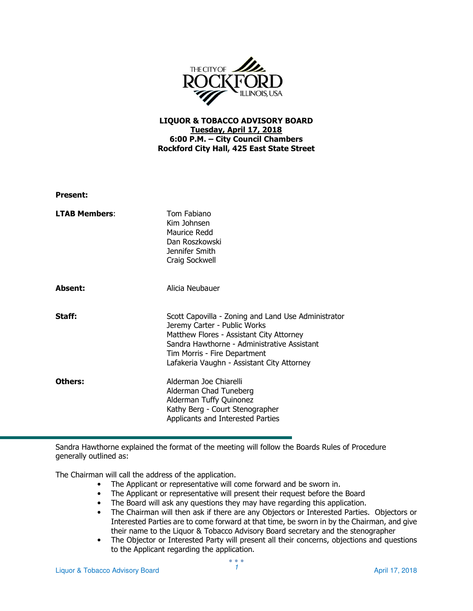

## LIQUOR & TOBACCO ADVISORY BOARD Tuesday, April 17, 2018 6:00 P.M. – City Council Chambers Rockford City Hall, 425 East State Street

| <b>Present:</b>      |                                                                                                                                                                                                                                                              |
|----------------------|--------------------------------------------------------------------------------------------------------------------------------------------------------------------------------------------------------------------------------------------------------------|
| <b>LTAB Members:</b> | Tom Fabiano<br>Kim Johnsen<br>Maurice Redd<br>Dan Roszkowski<br>Jennifer Smith<br>Craig Sockwell                                                                                                                                                             |
| Absent:              | Alicia Neubauer                                                                                                                                                                                                                                              |
| Staff:               | Scott Capovilla - Zoning and Land Use Administrator<br>Jeremy Carter - Public Works<br>Matthew Flores - Assistant City Attorney<br>Sandra Hawthorne - Administrative Assistant<br>Tim Morris - Fire Department<br>Lafakeria Vaughn - Assistant City Attorney |
| Others:              | Alderman Joe Chiarelli<br>Alderman Chad Tuneberg<br>Alderman Tuffy Quinonez<br>Kathy Berg - Court Stenographer<br>Applicants and Interested Parties                                                                                                          |

Sandra Hawthorne explained the format of the meeting will follow the Boards Rules of Procedure generally outlined as:

The Chairman will call the address of the application.

- The Applicant or representative will come forward and be sworn in.
- The Applicant or representative will present their request before the Board
- The Board will ask any questions they may have regarding this application.
- The Chairman will then ask if there are any Objectors or Interested Parties. Objectors or Interested Parties are to come forward at that time, be sworn in by the Chairman, and give their name to the Liquor & Tobacco Advisory Board secretary and the stenographer
- The Objector or Interested Party will present all their concerns, objections and questions to the Applicant regarding the application.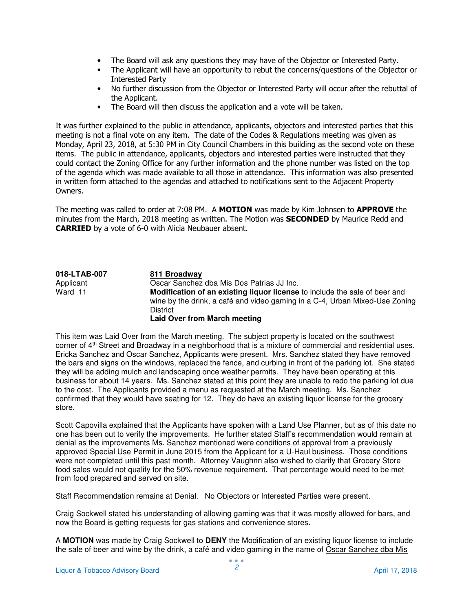- The Board will ask any questions they may have of the Objector or Interested Party.
- The Applicant will have an opportunity to rebut the concerns/questions of the Objector or Interested Party
- No further discussion from the Objector or Interested Party will occur after the rebuttal of the Applicant.
- The Board will then discuss the application and a vote will be taken.

It was further explained to the public in attendance, applicants, objectors and interested parties that this meeting is not a final vote on any item. The date of the Codes & Regulations meeting was given as Monday, April 23, 2018, at 5:30 PM in City Council Chambers in this building as the second vote on these items. The public in attendance, applicants, objectors and interested parties were instructed that they could contact the Zoning Office for any further information and the phone number was listed on the top of the agenda which was made available to all those in attendance. This information was also presented in written form attached to the agendas and attached to notifications sent to the Adjacent Property Owners.

The meeting was called to order at 7:08 PM. A MOTION was made by Kim Johnsen to APPROVE the minutes from the March, 2018 meeting as written. The Motion was **SECONDED** by Maurice Redd and CARRIED by a vote of 6-0 with Alicia Neubauer absent.

**018-LTAB-007 811 Broadway**  Applicant **Cancel Constructs** Oscar Sanchez dba Mis Dos Patrias JJ Inc.<br>
Ward 11 **Modification of an existing liquor license Modification of an existing liquor license** to include the sale of beer and wine by the drink, a café and video gaming in a C-4, Urban Mixed-Use Zoning **District Laid Over from March meeting** 

This item was Laid Over from the March meeting. The subject property is located on the southwest corner of 4th Street and Broadway in a neighborhood that is a mixture of commercial and residential uses. Ericka Sanchez and Oscar Sanchez, Applicants were present. Mrs. Sanchez stated they have removed the bars and signs on the windows, replaced the fence, and curbing in front of the parking lot. She stated they will be adding mulch and landscaping once weather permits. They have been operating at this business for about 14 years. Ms. Sanchez stated at this point they are unable to redo the parking lot due to the cost. The Applicants provided a menu as requested at the March meeting. Ms. Sanchez confirmed that they would have seating for 12. They do have an existing liquor license for the grocery store.

Scott Capovilla explained that the Applicants have spoken with a Land Use Planner, but as of this date no one has been out to verify the improvements. He further stated Staff's recommendation would remain at denial as the improvements Ms. Sanchez mentioned were conditions of approval from a previously approved Special Use Permit in June 2015 from the Applicant for a U-Haul business. Those conditions were not completed until this past month. Attorney Vaughnn also wished to clarify that Grocery Store food sales would not qualify for the 50% revenue requirement. That percentage would need to be met from food prepared and served on site.

Staff Recommendation remains at Denial. No Objectors or Interested Parties were present.

Craig Sockwell stated his understanding of allowing gaming was that it was mostly allowed for bars, and now the Board is getting requests for gas stations and convenience stores.

A **MOTION** was made by Craig Sockwell to **DENY** the Modification of an existing liquor license to include the sale of beer and wine by the drink, a café and video gaming in the name of Oscar Sanchez dba Mis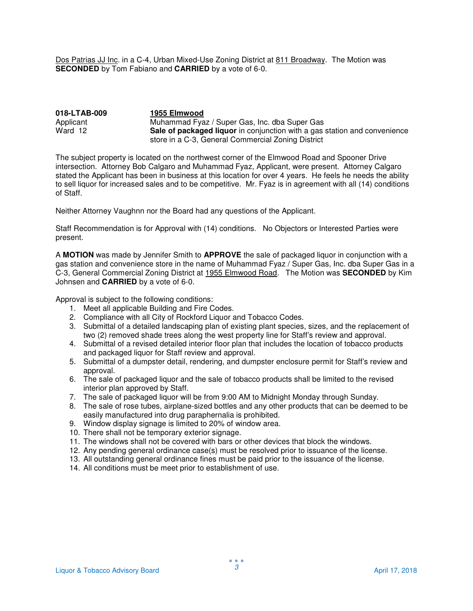Dos Patrias JJ Inc. in a C-4, Urban Mixed-Use Zoning District at 811 Broadway. The Motion was **SECONDED** by Tom Fabiano and **CARRIED** by a vote of 6-0.

| 018-LTAB-009 | 1955 Elmwood                                                                     |
|--------------|----------------------------------------------------------------------------------|
| Applicant    | Muhammad Fyaz / Super Gas, Inc. dba Super Gas                                    |
| Ward 12      | <b>Sale of packaged liquor</b> in conjunction with a gas station and convenience |
|              | store in a C-3, General Commercial Zoning District                               |

The subject property is located on the northwest corner of the Elmwood Road and Spooner Drive intersection. Attorney Bob Calgaro and Muhammad Fyaz, Applicant, were present. Attorney Calgaro stated the Applicant has been in business at this location for over 4 years. He feels he needs the ability to sell liquor for increased sales and to be competitive. Mr. Fyaz is in agreement with all (14) conditions of Staff.

Neither Attorney Vaughnn nor the Board had any questions of the Applicant.

Staff Recommendation is for Approval with (14) conditions. No Objectors or Interested Parties were present.

A **MOTION** was made by Jennifer Smith to **APPROVE** the sale of packaged liquor in conjunction with a gas station and convenience store in the name of Muhammad Fyaz / Super Gas, Inc. dba Super Gas in a C-3, General Commercial Zoning District at 1955 Elmwood Road. The Motion was **SECONDED** by Kim Johnsen and **CARRIED** by a vote of 6-0.

- 1. Meet all applicable Building and Fire Codes.
- 2. Compliance with all City of Rockford Liquor and Tobacco Codes.
- 3. Submittal of a detailed landscaping plan of existing plant species, sizes, and the replacement of two (2) removed shade trees along the west property line for Staff's review and approval.
- 4. Submittal of a revised detailed interior floor plan that includes the location of tobacco products and packaged liquor for Staff review and approval.
- 5. Submittal of a dumpster detail, rendering, and dumpster enclosure permit for Staff's review and approval.
- 6. The sale of packaged liquor and the sale of tobacco products shall be limited to the revised interior plan approved by Staff.
- 7. The sale of packaged liquor will be from 9:00 AM to Midnight Monday through Sunday.
- 8. The sale of rose tubes, airplane-sized bottles and any other products that can be deemed to be easily manufactured into drug paraphernalia is prohibited.
- 9. Window display signage is limited to 20% of window area.
- 10. There shall not be temporary exterior signage.
- 11. The windows shall not be covered with bars or other devices that block the windows.
- 12. Any pending general ordinance case(s) must be resolved prior to issuance of the license.
- 13. All outstanding general ordinance fines must be paid prior to the issuance of the license.
- 14. All conditions must be meet prior to establishment of use.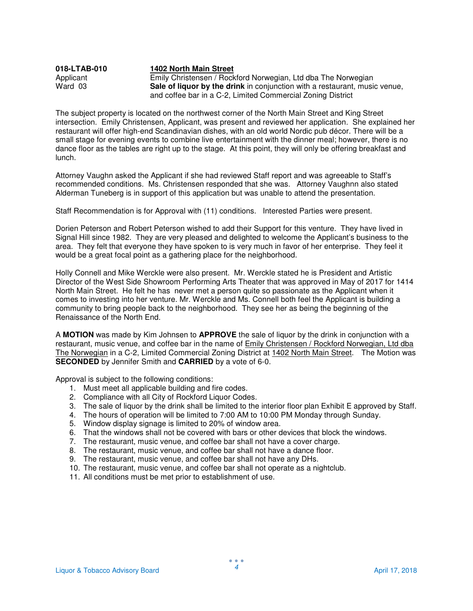| 018-LTAB-010 | 1402 North Main Street                                                     |
|--------------|----------------------------------------------------------------------------|
| Applicant    | Emily Christensen / Rockford Norwegian, Ltd dba The Norwegian              |
| Ward 03      | Sale of liquor by the drink in conjunction with a restaurant, music venue, |
|              | and coffee bar in a C-2, Limited Commercial Zoning District                |

The subject property is located on the northwest corner of the North Main Street and King Street intersection. Emily Christensen, Applicant, was present and reviewed her application. She explained her restaurant will offer high-end Scandinavian dishes, with an old world Nordic pub décor. There will be a small stage for evening events to combine live entertainment with the dinner meal; however, there is no dance floor as the tables are right up to the stage. At this point, they will only be offering breakfast and lunch.

Attorney Vaughn asked the Applicant if she had reviewed Staff report and was agreeable to Staff's recommended conditions. Ms. Christensen responded that she was. Attorney Vaughnn also stated Alderman Tuneberg is in support of this application but was unable to attend the presentation.

Staff Recommendation is for Approval with (11) conditions. Interested Parties were present.

Dorien Peterson and Robert Peterson wished to add their Support for this venture. They have lived in Signal Hill since 1982. They are very pleased and delighted to welcome the Applicant's business to the area. They felt that everyone they have spoken to is very much in favor of her enterprise. They feel it would be a great focal point as a gathering place for the neighborhood.

Holly Connell and Mike Werckle were also present. Mr. Werckle stated he is President and Artistic Director of the West Side Showroom Performing Arts Theater that was approved in May of 2017 for 1414 North Main Street. He felt he has never met a person quite so passionate as the Applicant when it comes to investing into her venture. Mr. Werckle and Ms. Connell both feel the Applicant is building a community to bring people back to the neighborhood. They see her as being the beginning of the Renaissance of the North End.

A **MOTION** was made by Kim Johnsen to **APPROVE** the sale of liquor by the drink in conjunction with a restaurant, music venue, and coffee bar in the name of Emily Christensen / Rockford Norwegian, Ltd dba The Norwegian in a C-2, Limited Commercial Zoning District at 1402 North Main Street. The Motion was **SECONDED** by Jennifer Smith and **CARRIED** by a vote of 6-0.

- 1. Must meet all applicable building and fire codes.
- 2. Compliance with all City of Rockford Liquor Codes.
- 3. The sale of liquor by the drink shall be limited to the interior floor plan Exhibit E approved by Staff.
- 4. The hours of operation will be limited to 7:00 AM to 10:00 PM Monday through Sunday.
- 5. Window display signage is limited to 20% of window area.
- 6. That the windows shall not be covered with bars or other devices that block the windows.
- 7. The restaurant, music venue, and coffee bar shall not have a cover charge.
- 8. The restaurant, music venue, and coffee bar shall not have a dance floor.
- 9. The restaurant, music venue, and coffee bar shall not have any DHs.
- 10. The restaurant, music venue, and coffee bar shall not operate as a nightclub.
- 11. All conditions must be met prior to establishment of use.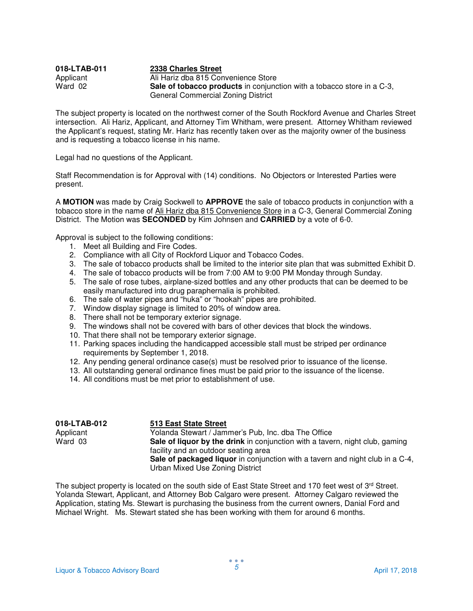| 018-LTAB-011 | 2338 Charles Street                                                           |
|--------------|-------------------------------------------------------------------------------|
| Applicant    | Ali Hariz dba 815 Convenience Store                                           |
| Ward 02      | <b>Sale of tobacco products</b> in conjunction with a tobacco store in a C-3, |
|              | General Commercial Zoning District                                            |

The subject property is located on the northwest corner of the South Rockford Avenue and Charles Street intersection. Ali Hariz, Applicant, and Attorney Tim Whitham, were present. Attorney Whitham reviewed the Applicant's request, stating Mr. Hariz has recently taken over as the majority owner of the business and is requesting a tobacco license in his name.

Legal had no questions of the Applicant.

Staff Recommendation is for Approval with (14) conditions. No Objectors or Interested Parties were present.

A **MOTION** was made by Craig Sockwell to **APPROVE** the sale of tobacco products in conjunction with a tobacco store in the name of Ali Hariz dba 815 Convenience Store in a C-3, General Commercial Zoning District. The Motion was **SECONDED** by Kim Johnsen and **CARRIED** by a vote of 6-0.

Approval is subject to the following conditions:

- 1. Meet all Building and Fire Codes.
- 2. Compliance with all City of Rockford Liquor and Tobacco Codes.
- 3. The sale of tobacco products shall be limited to the interior site plan that was submitted Exhibit D.
- 4. The sale of tobacco products will be from 7:00 AM to 9:00 PM Monday through Sunday.
- 5. The sale of rose tubes, airplane-sized bottles and any other products that can be deemed to be easily manufactured into drug paraphernalia is prohibited.
- 6. The sale of water pipes and "huka" or "hookah" pipes are prohibited.
- 7. Window display signage is limited to 20% of window area.
- 8. There shall not be temporary exterior signage.
- 9. The windows shall not be covered with bars of other devices that block the windows.
- 10. That there shall not be temporary exterior signage.
- 11. Parking spaces including the handicapped accessible stall must be striped per ordinance requirements by September 1, 2018.
- 12. Any pending general ordinance case(s) must be resolved prior to issuance of the license.
- 13. All outstanding general ordinance fines must be paid prior to the issuance of the license.
- 14. All conditions must be met prior to establishment of use.

| 018-LTAB-012 | <b>513 East State Street</b>                                                  |
|--------------|-------------------------------------------------------------------------------|
| Applicant    | Yolanda Stewart / Jammer's Pub, Inc. dba The Office                           |
| Ward 03      | Sale of liquor by the drink in conjunction with a tavern, night club, gaming  |
|              | facility and an outdoor seating area                                          |
|              | Sale of packaged liquor in conjunction with a tavern and night club in a C-4, |
|              | Urban Mixed Use Zoning District                                               |

The subject property is located on the south side of East State Street and 170 feet west of 3rd Street. Yolanda Stewart, Applicant, and Attorney Bob Calgaro were present. Attorney Calgaro reviewed the Application, stating Ms. Stewart is purchasing the business from the current owners, Danial Ford and Michael Wright. Ms. Stewart stated she has been working with them for around 6 months.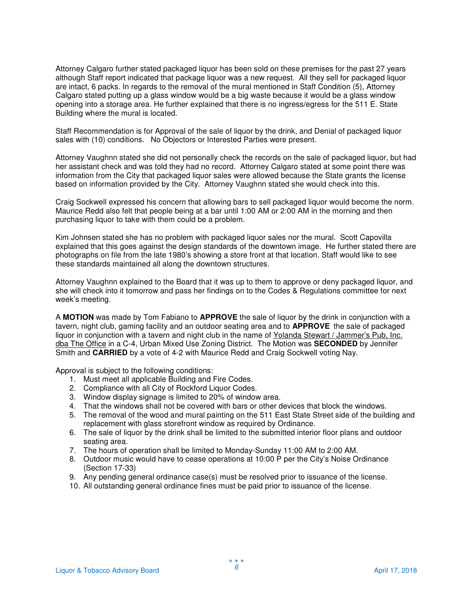Attorney Calgaro further stated packaged liquor has been sold on these premises for the past 27 years although Staff report indicated that package liquor was a new request. All they sell for packaged liquor are intact, 6 packs. In regards to the removal of the mural mentioned in Staff Condition (5), Attorney Calgaro stated putting up a glass window would be a big waste because it would be a glass window opening into a storage area. He further explained that there is no ingress/egress for the 511 E. State Building where the mural is located.

Staff Recommendation is for Approval of the sale of liquor by the drink, and Denial of packaged liquor sales with (10) conditions. No Objectors or Interested Parties were present.

Attorney Vaughnn stated she did not personally check the records on the sale of packaged liquor, but had her assistant check and was told they had no record. Attorney Calgaro stated at some point there was information from the City that packaged liquor sales were allowed because the State grants the license based on information provided by the City. Attorney Vaughnn stated she would check into this.

Craig Sockwell expressed his concern that allowing bars to sell packaged liquor would become the norm. Maurice Redd also felt that people being at a bar until 1:00 AM or 2:00 AM in the morning and then purchasing liquor to take with them could be a problem.

Kim Johnsen stated she has no problem with packaged liquor sales nor the mural. Scott Capovilla explained that this goes against the design standards of the downtown image. He further stated there are photographs on file from the late 1980's showing a store front at that location. Staff would like to see these standards maintained all along the downtown structures.

Attorney Vaughnn explained to the Board that it was up to them to approve or deny packaged liquor, and she will check into it tomorrow and pass her findings on to the Codes & Regulations committee for next week's meeting.

A **MOTION** was made by Tom Fabiano to **APPROVE** the sale of liquor by the drink in conjunction with a tavern, night club, gaming facility and an outdoor seating area and to **APPROVE** the sale of packaged liquor in conjunction with a tavern and night club in the name of Yolanda Stewart / Jammer's Pub, Inc. dba The Office in a C-4, Urban Mixed Use Zoning District. The Motion was **SECONDED** by Jennifer Smith and **CARRIED** by a vote of 4-2 with Maurice Redd and Craig Sockwell voting Nay.

- 1. Must meet all applicable Building and Fire Codes.
- 2. Compliance with all City of Rockford Liquor Codes.
- 3. Window display signage is limited to 20% of window area.
- 4. That the windows shall not be covered with bars or other devices that block the windows.
- 5. The removal of the wood and mural painting on the 511 East State Street side of the building and replacement with glass storefront window as required by Ordinance.
- 6. The sale of liquor by the drink shall be limited to the submitted interior floor plans and outdoor seating area.
- 7. The hours of operation shall be limited to Monday-Sunday 11:00 AM to 2:00 AM.
- 8. Outdoor music would have to cease operations at 10:00 P per the City's Noise Ordinance (Section 17-33)
- 9. Any pending general ordinance case(s) must be resolved prior to issuance of the license.
- 10. All outstanding general ordinance fines must be paid prior to issuance of the license.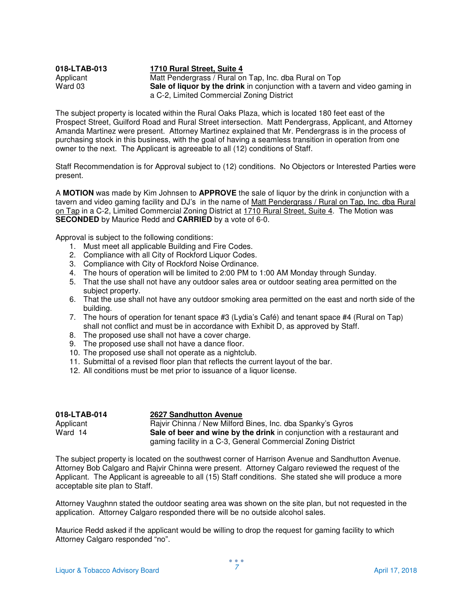| 018-LTAB-013 | 1710 Rural Street, Suite 4                                                          |
|--------------|-------------------------------------------------------------------------------------|
| Applicant    | Matt Pendergrass / Rural on Tap, Inc. dba Rural on Top                              |
| Ward 03      | <b>Sale of liquor by the drink</b> in conjunction with a tavern and video gaming in |
|              | a C-2, Limited Commercial Zoning District                                           |

The subject property is located within the Rural Oaks Plaza, which is located 180 feet east of the Prospect Street, Guilford Road and Rural Street intersection. Matt Pendergrass, Applicant, and Attorney Amanda Martinez were present. Attorney Martinez explained that Mr. Pendergrass is in the process of purchasing stock in this business, with the goal of having a seamless transition in operation from one owner to the next. The Applicant is agreeable to all (12) conditions of Staff.

Staff Recommendation is for Approval subject to (12) conditions. No Objectors or Interested Parties were present.

A **MOTION** was made by Kim Johnsen to **APPROVE** the sale of liquor by the drink in conjunction with a tavern and video gaming facility and DJ's in the name of Matt Pendergrass / Rural on Tap, Inc. dba Rural on Tap in a C-2, Limited Commercial Zoning District at 1710 Rural Street, Suite 4. The Motion was **SECONDED** by Maurice Redd and **CARRIED** by a vote of 6-0.

Approval is subject to the following conditions:

- 1. Must meet all applicable Building and Fire Codes.
- 2. Compliance with all City of Rockford Liquor Codes.
- 3. Compliance with City of Rockford Noise Ordinance.
- 4. The hours of operation will be limited to 2:00 PM to 1:00 AM Monday through Sunday.
- 5. That the use shall not have any outdoor sales area or outdoor seating area permitted on the subject property.
- 6. That the use shall not have any outdoor smoking area permitted on the east and north side of the building.
- 7. The hours of operation for tenant space #3 (Lydia's Café) and tenant space #4 (Rural on Tap) shall not conflict and must be in accordance with Exhibit D, as approved by Staff.
- 8. The proposed use shall not have a cover charge.
- 9. The proposed use shall not have a dance floor.
- 10. The proposed use shall not operate as a nightclub.
- 11. Submittal of a revised floor plan that reflects the current layout of the bar.
- 12. All conditions must be met prior to issuance of a liquor license.

| 018-LTAB-014 | <b>2627 Sandhutton Avenue</b>                                           |
|--------------|-------------------------------------------------------------------------|
| Applicant    | Rajvir Chinna / New Milford Bines, Inc. dba Spanky's Gyros              |
| Ward 14      | Sale of beer and wine by the drink in conjunction with a restaurant and |
|              | gaming facility in a C-3, General Commercial Zoning District            |

The subject property is located on the southwest corner of Harrison Avenue and Sandhutton Avenue. Attorney Bob Calgaro and Rajvir Chinna were present. Attorney Calgaro reviewed the request of the Applicant. The Applicant is agreeable to all (15) Staff conditions. She stated she will produce a more acceptable site plan to Staff.

Attorney Vaughnn stated the outdoor seating area was shown on the site plan, but not requested in the application. Attorney Calgaro responded there will be no outside alcohol sales.

Maurice Redd asked if the applicant would be willing to drop the request for gaming facility to which Attorney Calgaro responded "no".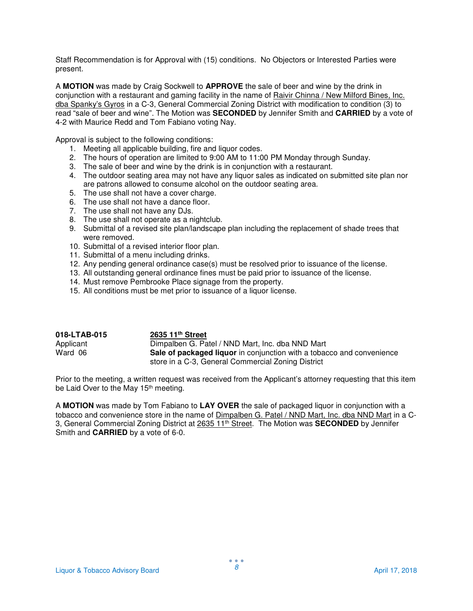Staff Recommendation is for Approval with (15) conditions. No Objectors or Interested Parties were present.

A **MOTION** was made by Craig Sockwell to **APPROVE** the sale of beer and wine by the drink in conjunction with a restaurant and gaming facility in the name of Raivir Chinna / New Milford Bines, Inc. dba Spanky's Gyros in a C-3, General Commercial Zoning District with modification to condition (3) to read "sale of beer and wine". The Motion was **SECONDED** by Jennifer Smith and **CARRIED** by a vote of 4-2 with Maurice Redd and Tom Fabiano voting Nay.

Approval is subject to the following conditions:

- 1. Meeting all applicable building, fire and liquor codes.
- 2. The hours of operation are limited to 9:00 AM to 11:00 PM Monday through Sunday.
- 3. The sale of beer and wine by the drink is in conjunction with a restaurant.
- 4. The outdoor seating area may not have any liquor sales as indicated on submitted site plan nor are patrons allowed to consume alcohol on the outdoor seating area.
- 5. The use shall not have a cover charge.
- 6. The use shall not have a dance floor.
- 7. The use shall not have any DJs.
- 8. The use shall not operate as a nightclub.
- 9. Submittal of a revised site plan/landscape plan including the replacement of shade trees that were removed.
- 10. Submittal of a revised interior floor plan.
- 11. Submittal of a menu including drinks.
- 12. Any pending general ordinance case(s) must be resolved prior to issuance of the license.
- 13. All outstanding general ordinance fines must be paid prior to issuance of the license.
- 14. Must remove Pembrooke Place signage from the property.
- 15. All conditions must be met prior to issuance of a liquor license.

| 018-LTAB-015 | 2635 11 <sup>th</sup> Street                                          |
|--------------|-----------------------------------------------------------------------|
| Applicant    | Dimpalben G. Patel / NND Mart, Inc. dba NND Mart                      |
| Ward 06      | Sale of packaged liquor in conjunction with a tobacco and convenience |
|              | store in a C-3, General Commercial Zoning District                    |

Prior to the meeting, a written request was received from the Applicant's attorney requesting that this item be Laid Over to the May 15<sup>th</sup> meeting.

A **MOTION** was made by Tom Fabiano to **LAY OVER** the sale of packaged liquor in conjunction with a tobacco and convenience store in the name of Dimpalben G. Patel / NND Mart, Inc. dba NND Mart in a C-3, General Commercial Zoning District at 2635 11th Street. The Motion was **SECONDED** by Jennifer Smith and **CARRIED** by a vote of 6-0.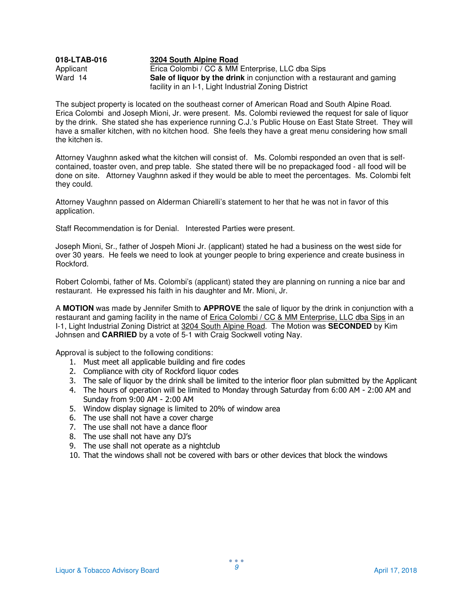## **018-LTAB-016 3204 South Alpine Road** Applicant Erica Colombi / CC & MM Enterprise, LLC dba Sips<br>Ward 14 **Sale of liquor by the drink** in conjunction with a res **Sale of liquor by the drink** in conjunction with a restaurant and gaming facility in an I-1, Light Industrial Zoning District

The subject property is located on the southeast corner of American Road and South Alpine Road. Erica Colombi and Joseph Mioni, Jr. were present. Ms. Colombi reviewed the request for sale of liquor by the drink. She stated she has experience running C.J.'s Public House on East State Street. They will have a smaller kitchen, with no kitchen hood. She feels they have a great menu considering how small the kitchen is.

Attorney Vaughnn asked what the kitchen will consist of. Ms. Colombi responded an oven that is selfcontained, toaster oven, and prep table. She stated there will be no prepackaged food - all food will be done on site. Attorney Vaughnn asked if they would be able to meet the percentages. Ms. Colombi felt they could.

Attorney Vaughnn passed on Alderman Chiarelli's statement to her that he was not in favor of this application.

Staff Recommendation is for Denial. Interested Parties were present.

Joseph Mioni, Sr., father of Jospeh Mioni Jr. (applicant) stated he had a business on the west side for over 30 years. He feels we need to look at younger people to bring experience and create business in Rockford.

Robert Colombi, father of Ms. Colombi's (applicant) stated they are planning on running a nice bar and restaurant. He expressed his faith in his daughter and Mr. Mioni, Jr.

A **MOTION** was made by Jennifer Smith to **APPROVE** the sale of liquor by the drink in conjunction with a restaurant and gaming facility in the name of Erica Colombi / CC & MM Enterprise, LLC dba Sips in an I-1, Light Industrial Zoning District at 3204 South Alpine Road. The Motion was **SECONDED** by Kim Johnsen and **CARRIED** by a vote of 5-1 with Craig Sockwell voting Nay.

- 1. Must meet all applicable building and fire codes
- 2. Compliance with city of Rockford liquor codes
- 3. The sale of liquor by the drink shall be limited to the interior floor plan submitted by the Applicant
- 4. The hours of operation will be limited to Monday through Saturday from 6:00 AM 2:00 AM and Sunday from 9:00 AM - 2:00 AM
- 5. Window display signage is limited to 20% of window area
- 6. The use shall not have a cover charge
- 7. The use shall not have a dance floor
- 8. The use shall not have any DJ's
- 9. The use shall not operate as a nightclub
- 10. That the windows shall not be covered with bars or other devices that block the windows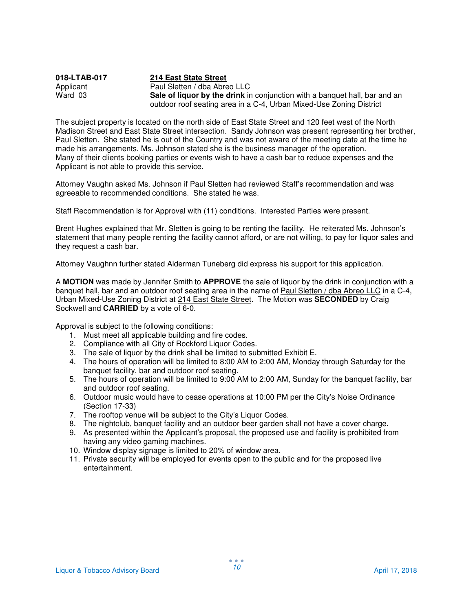| 018-LTAB-017 | 214 East State Street                                                             |
|--------------|-----------------------------------------------------------------------------------|
| Applicant    | Paul Sletten / dba Abreo LLC                                                      |
| Ward 03      | <b>Sale of liquor by the drink</b> in conjunction with a banguet hall, bar and an |
|              | outdoor roof seating area in a C-4, Urban Mixed-Use Zoning District               |

The subject property is located on the north side of East State Street and 120 feet west of the North Madison Street and East State Street intersection. Sandy Johnson was present representing her brother, Paul Sletten. She stated he is out of the Country and was not aware of the meeting date at the time he made his arrangements. Ms. Johnson stated she is the business manager of the operation. Many of their clients booking parties or events wish to have a cash bar to reduce expenses and the Applicant is not able to provide this service.

Attorney Vaughn asked Ms. Johnson if Paul Sletten had reviewed Staff's recommendation and was agreeable to recommended conditions. She stated he was.

Staff Recommendation is for Approval with (11) conditions. Interested Parties were present.

Brent Hughes explained that Mr. Sletten is going to be renting the facility. He reiterated Ms. Johnson's statement that many people renting the facility cannot afford, or are not willing, to pay for liquor sales and they request a cash bar.

Attorney Vaughnn further stated Alderman Tuneberg did express his support for this application.

A **MOTION** was made by Jennifer Smith to **APPROVE** the sale of liquor by the drink in conjunction with a banquet hall, bar and an outdoor roof seating area in the name of Paul Sletten / dba Abreo LLC in a C-4, Urban Mixed-Use Zoning District at 214 East State Street. The Motion was **SECONDED** by Craig Sockwell and **CARRIED** by a vote of 6-0.

- 1. Must meet all applicable building and fire codes.
- 2. Compliance with all City of Rockford Liquor Codes.
- 3. The sale of liquor by the drink shall be limited to submitted Exhibit E.
- 4. The hours of operation will be limited to 8:00 AM to 2:00 AM, Monday through Saturday for the banquet facility, bar and outdoor roof seating.
- 5. The hours of operation will be limited to 9:00 AM to 2:00 AM, Sunday for the banquet facility, bar and outdoor roof seating.
- 6. Outdoor music would have to cease operations at 10:00 PM per the City's Noise Ordinance (Section 17-33)
- 7. The rooftop venue will be subject to the City's Liquor Codes.
- 8. The nightclub, banquet facility and an outdoor beer garden shall not have a cover charge.
- 9. As presented within the Applicant's proposal, the proposed use and facility is prohibited from having any video gaming machines.
- 10. Window display signage is limited to 20% of window area.
- 11. Private security will be employed for events open to the public and for the proposed live entertainment.